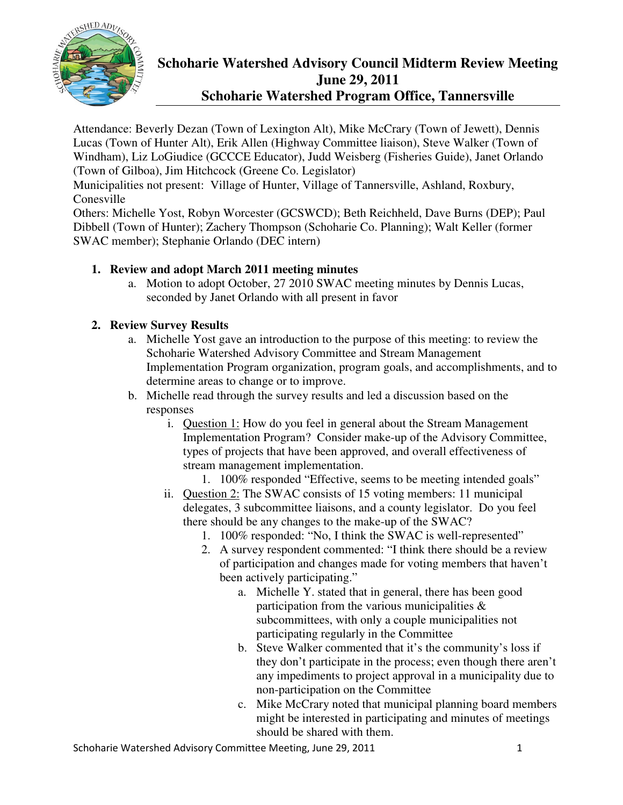

# **Schoharie Watershed Advisory Council Midterm Review Meeting June 29, 2011**

**Schoharie Watershed Program Office, Tannersville** 

Attendance: Beverly Dezan (Town of Lexington Alt), Mike McCrary (Town of Jewett), Dennis Lucas (Town of Hunter Alt), Erik Allen (Highway Committee liaison), Steve Walker (Town of Windham), Liz LoGiudice (GCCCE Educator), Judd Weisberg (Fisheries Guide), Janet Orlando (Town of Gilboa), Jim Hitchcock (Greene Co. Legislator)

Municipalities not present: Village of Hunter, Village of Tannersville, Ashland, Roxbury, Conesville

Others: Michelle Yost, Robyn Worcester (GCSWCD); Beth Reichheld, Dave Burns (DEP); Paul Dibbell (Town of Hunter); Zachery Thompson (Schoharie Co. Planning); Walt Keller (former SWAC member); Stephanie Orlando (DEC intern)

### **1. Review and adopt March 2011 meeting minutes**

a. Motion to adopt October, 27 2010 SWAC meeting minutes by Dennis Lucas, seconded by Janet Orlando with all present in favor

## **2. Review Survey Results**

- a. Michelle Yost gave an introduction to the purpose of this meeting: to review the Schoharie Watershed Advisory Committee and Stream Management Implementation Program organization, program goals, and accomplishments, and to determine areas to change or to improve.
- b. Michelle read through the survey results and led a discussion based on the responses
	- i. Question 1: How do you feel in general about the Stream Management Implementation Program? Consider make-up of the Advisory Committee, types of projects that have been approved, and overall effectiveness of stream management implementation.
		- 1. 100% responded "Effective, seems to be meeting intended goals"
	- ii. Question 2: The SWAC consists of 15 voting members: 11 municipal delegates, 3 subcommittee liaisons, and a county legislator. Do you feel there should be any changes to the make-up of the SWAC?
		- 1. 100% responded: "No, I think the SWAC is well-represented"
		- 2. A survey respondent commented: "I think there should be a review of participation and changes made for voting members that haven't been actively participating."
			- a. Michelle Y. stated that in general, there has been good participation from the various municipalities & subcommittees, with only a couple municipalities not participating regularly in the Committee
			- b. Steve Walker commented that it's the community's loss if they don't participate in the process; even though there aren't any impediments to project approval in a municipality due to non-participation on the Committee
			- c. Mike McCrary noted that municipal planning board members might be interested in participating and minutes of meetings should be shared with them.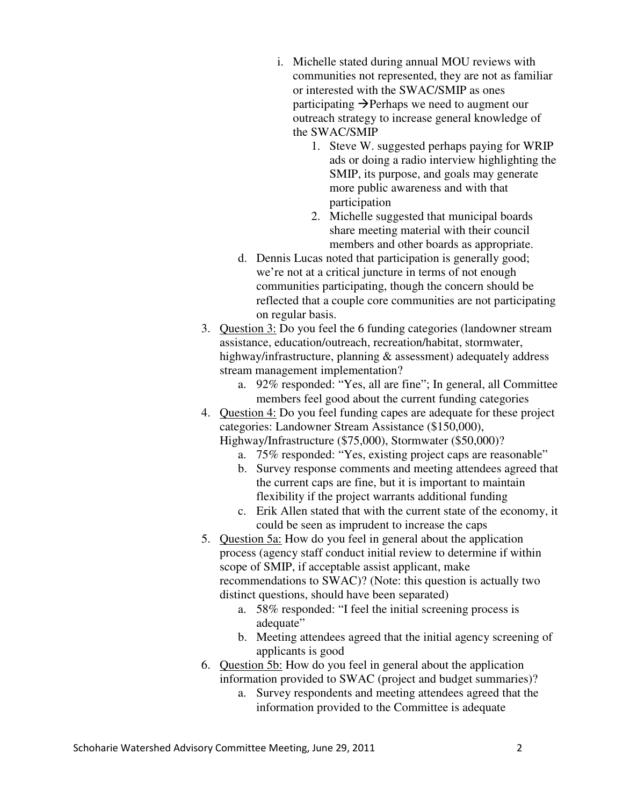- i. Michelle stated during annual MOU reviews with communities not represented, they are not as familiar or interested with the SWAC/SMIP as ones participating  $\rightarrow$  Perhaps we need to augment our outreach strategy to increase general knowledge of the SWAC/SMIP
	- 1. Steve W. suggested perhaps paying for WRIP ads or doing a radio interview highlighting the SMIP, its purpose, and goals may generate more public awareness and with that participation
	- 2. Michelle suggested that municipal boards share meeting material with their council members and other boards as appropriate.
- d. Dennis Lucas noted that participation is generally good; we're not at a critical juncture in terms of not enough communities participating, though the concern should be reflected that a couple core communities are not participating on regular basis.
- 3. Question 3: Do you feel the 6 funding categories (landowner stream assistance, education/outreach, recreation/habitat, stormwater, highway/infrastructure, planning & assessment) adequately address stream management implementation?
	- a. 92% responded: "Yes, all are fine"; In general, all Committee members feel good about the current funding categories
- 4. Question 4: Do you feel funding capes are adequate for these project categories: Landowner Stream Assistance (\$150,000), Highway/Infrastructure (\$75,000), Stormwater (\$50,000)?
	- a. 75% responded: "Yes, existing project caps are reasonable"
	- b. Survey response comments and meeting attendees agreed that the current caps are fine, but it is important to maintain flexibility if the project warrants additional funding
	- c. Erik Allen stated that with the current state of the economy, it could be seen as imprudent to increase the caps
- 5. Question 5a: How do you feel in general about the application process (agency staff conduct initial review to determine if within scope of SMIP, if acceptable assist applicant, make recommendations to SWAC)? (Note: this question is actually two distinct questions, should have been separated)
	- a. 58% responded: "I feel the initial screening process is adequate"
	- b. Meeting attendees agreed that the initial agency screening of applicants is good
- 6. Question 5b: How do you feel in general about the application information provided to SWAC (project and budget summaries)?
	- a. Survey respondents and meeting attendees agreed that the information provided to the Committee is adequate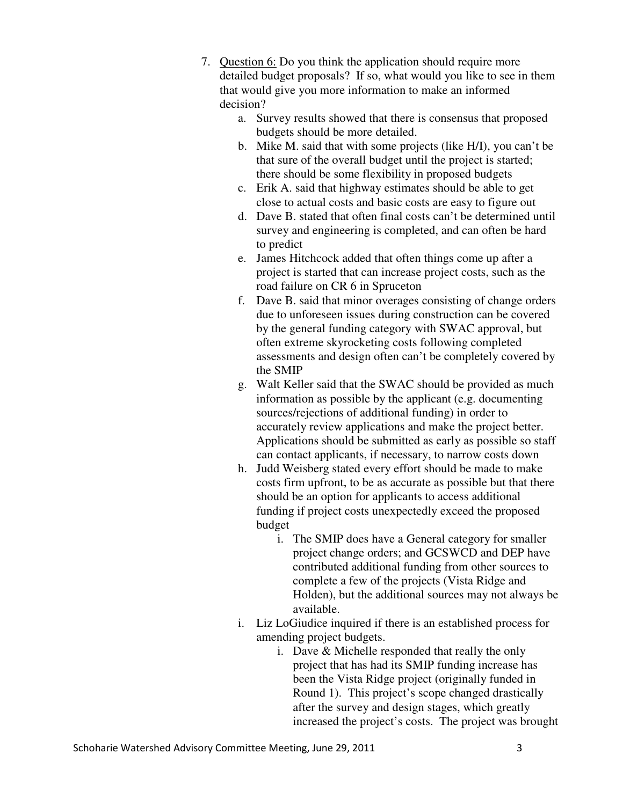- 7. Question 6: Do you think the application should require more detailed budget proposals? If so, what would you like to see in them that would give you more information to make an informed decision?
	- a. Survey results showed that there is consensus that proposed budgets should be more detailed.
	- b. Mike M. said that with some projects (like H/I), you can't be that sure of the overall budget until the project is started; there should be some flexibility in proposed budgets
	- c. Erik A. said that highway estimates should be able to get close to actual costs and basic costs are easy to figure out
	- d. Dave B. stated that often final costs can't be determined until survey and engineering is completed, and can often be hard to predict
	- e. James Hitchcock added that often things come up after a project is started that can increase project costs, such as the road failure on CR 6 in Spruceton
	- f. Dave B. said that minor overages consisting of change orders due to unforeseen issues during construction can be covered by the general funding category with SWAC approval, but often extreme skyrocketing costs following completed assessments and design often can't be completely covered by the SMIP
	- g. Walt Keller said that the SWAC should be provided as much information as possible by the applicant (e.g. documenting sources/rejections of additional funding) in order to accurately review applications and make the project better. Applications should be submitted as early as possible so staff can contact applicants, if necessary, to narrow costs down
	- h. Judd Weisberg stated every effort should be made to make costs firm upfront, to be as accurate as possible but that there should be an option for applicants to access additional funding if project costs unexpectedly exceed the proposed budget
		- i. The SMIP does have a General category for smaller project change orders; and GCSWCD and DEP have contributed additional funding from other sources to complete a few of the projects (Vista Ridge and Holden), but the additional sources may not always be available.
	- i. Liz LoGiudice inquired if there is an established process for amending project budgets.
		- i. Dave & Michelle responded that really the only project that has had its SMIP funding increase has been the Vista Ridge project (originally funded in Round 1). This project's scope changed drastically after the survey and design stages, which greatly increased the project's costs. The project was brought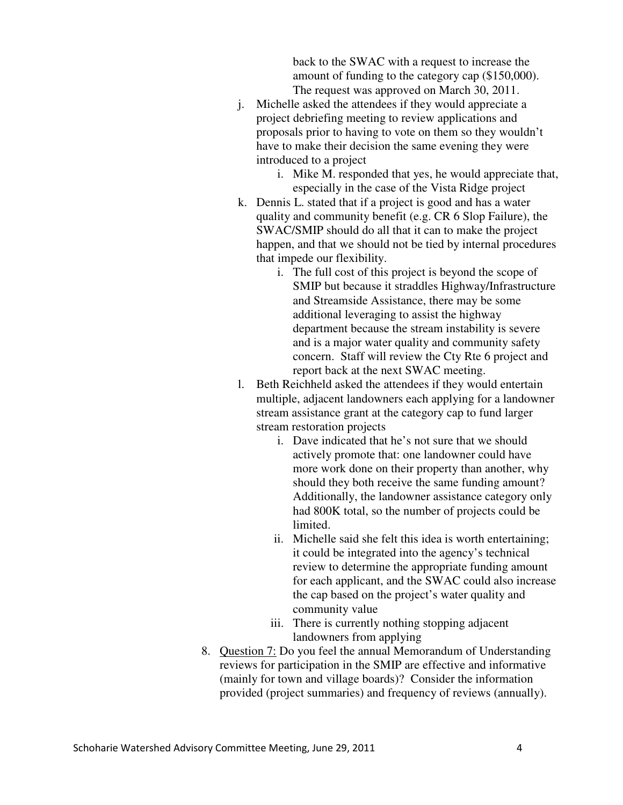back to the SWAC with a request to increase the amount of funding to the category cap (\$150,000). The request was approved on March 30, 2011.

- j. Michelle asked the attendees if they would appreciate a project debriefing meeting to review applications and proposals prior to having to vote on them so they wouldn't have to make their decision the same evening they were introduced to a project
	- i. Mike M. responded that yes, he would appreciate that, especially in the case of the Vista Ridge project
- k. Dennis L. stated that if a project is good and has a water quality and community benefit (e.g. CR 6 Slop Failure), the SWAC/SMIP should do all that it can to make the project happen, and that we should not be tied by internal procedures that impede our flexibility.
	- i. The full cost of this project is beyond the scope of SMIP but because it straddles Highway/Infrastructure and Streamside Assistance, there may be some additional leveraging to assist the highway department because the stream instability is severe and is a major water quality and community safety concern. Staff will review the Cty Rte 6 project and report back at the next SWAC meeting.
- l. Beth Reichheld asked the attendees if they would entertain multiple, adjacent landowners each applying for a landowner stream assistance grant at the category cap to fund larger stream restoration projects
	- i. Dave indicated that he's not sure that we should actively promote that: one landowner could have more work done on their property than another, why should they both receive the same funding amount? Additionally, the landowner assistance category only had 800K total, so the number of projects could be limited.
	- ii. Michelle said she felt this idea is worth entertaining; it could be integrated into the agency's technical review to determine the appropriate funding amount for each applicant, and the SWAC could also increase the cap based on the project's water quality and community value
	- iii. There is currently nothing stopping adjacent landowners from applying
- 8. Question 7: Do you feel the annual Memorandum of Understanding reviews for participation in the SMIP are effective and informative (mainly for town and village boards)? Consider the information provided (project summaries) and frequency of reviews (annually).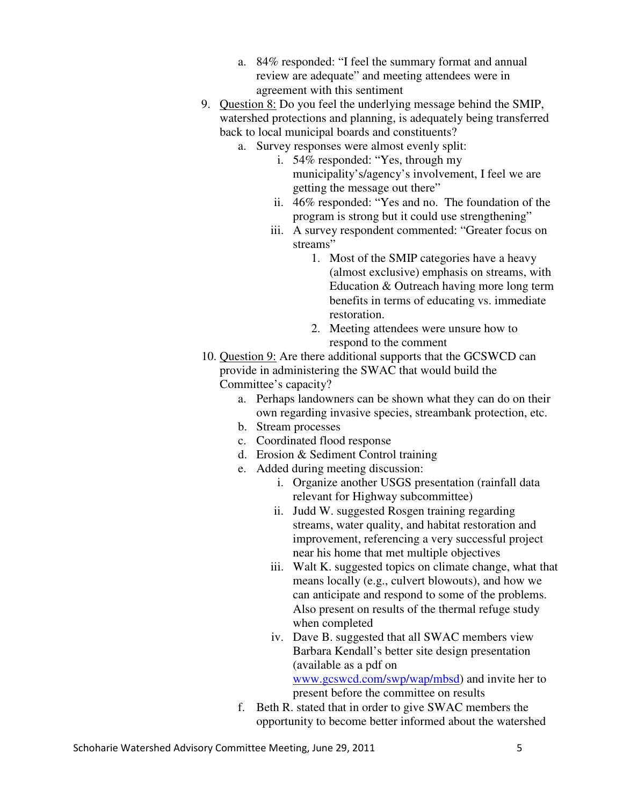- a. 84% responded: "I feel the summary format and annual review are adequate" and meeting attendees were in agreement with this sentiment
- 9. Question 8: Do you feel the underlying message behind the SMIP, watershed protections and planning, is adequately being transferred back to local municipal boards and constituents?
	- a. Survey responses were almost evenly split:
		- i. 54% responded: "Yes, through my municipality's/agency's involvement, I feel we are getting the message out there"
		- ii. 46% responded: "Yes and no. The foundation of the program is strong but it could use strengthening"
		- iii. A survey respondent commented: "Greater focus on streams"
			- 1. Most of the SMIP categories have a heavy (almost exclusive) emphasis on streams, with Education & Outreach having more long term benefits in terms of educating vs. immediate restoration.
			- 2. Meeting attendees were unsure how to respond to the comment
- 10. Question 9: Are there additional supports that the GCSWCD can provide in administering the SWAC that would build the Committee's capacity?
	- a. Perhaps landowners can be shown what they can do on their own regarding invasive species, streambank protection, etc.
	- b. Stream processes
	- c. Coordinated flood response
	- d. Erosion & Sediment Control training
	- e. Added during meeting discussion:
		- i. Organize another USGS presentation (rainfall data relevant for Highway subcommittee)
		- ii. Judd W. suggested Rosgen training regarding streams, water quality, and habitat restoration and improvement, referencing a very successful project near his home that met multiple objectives
		- iii. Walt K. suggested topics on climate change, what that means locally (e.g., culvert blowouts), and how we can anticipate and respond to some of the problems. Also present on results of the thermal refuge study when completed
		- iv. Dave B. suggested that all SWAC members view Barbara Kendall's better site design presentation (available as a pdf on www.gcswcd.com/swp/wap/mbsd) and invite her to

present before the committee on results

f. Beth R. stated that in order to give SWAC members the opportunity to become better informed about the watershed